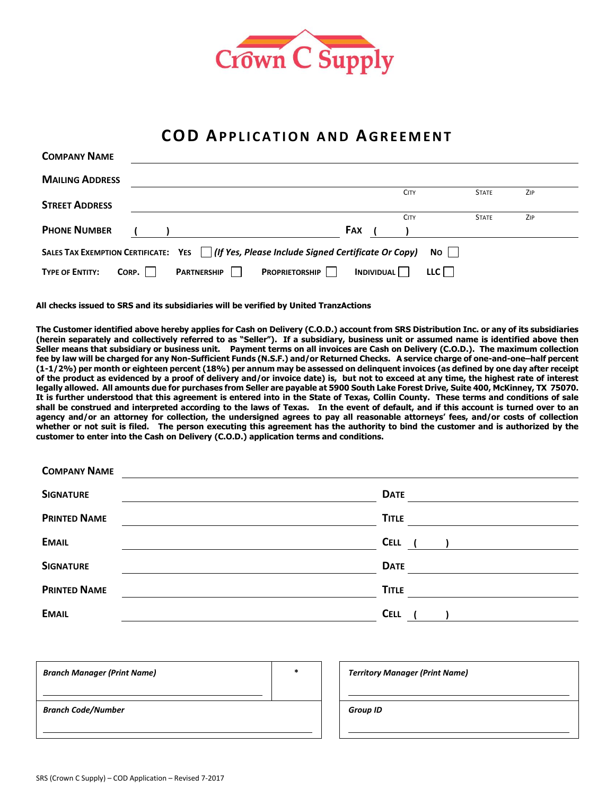

## **COD AP P L I C A T I O N A N D AGR E E M E N T**

| <b>COMPANY NAME</b>                                                                        |       |                    |                       |     |                   |             |              |     |  |
|--------------------------------------------------------------------------------------------|-------|--------------------|-----------------------|-----|-------------------|-------------|--------------|-----|--|
| <b>MAILING ADDRESS</b>                                                                     |       |                    |                       |     |                   |             |              |     |  |
|                                                                                            |       |                    |                       |     |                   | <b>CITY</b> | <b>STATE</b> | ZIP |  |
| <b>STREET ADDRESS</b>                                                                      |       |                    |                       |     |                   |             |              |     |  |
|                                                                                            |       |                    |                       |     |                   | <b>CITY</b> | <b>STATE</b> | ZIP |  |
| <b>PHONE NUMBER</b>                                                                        |       |                    |                       | FAX |                   |             |              |     |  |
| SALES TAX EXEMPTION CERTIFICATE: YES   (If Yes, Please Include Signed Certificate Or Copy) |       |                    |                       |     |                   |             | No           |     |  |
| <b>TYPE OF ENTITY:</b>                                                                     | CORP. | <b>PARTNERSHIP</b> | <b>PROPRIETORSHIP</b> |     | <b>INDIVIDUAL</b> |             | LLC          |     |  |

**All checks issued to SRS and its subsidiaries will be verified by United TranzActions**

**The Customer identified above hereby applies for Cash on Delivery (C.O.D.) account from SRS Distribution Inc. or any of its subsidiaries (herein separately and collectively referred to as "Seller"). If a subsidiary, business unit or assumed name is identified above then Seller means that subsidiary or business unit. Payment terms on all invoices are Cash on Delivery (C.O.D.). The maximum collection fee by law will be charged for any Non-Sufficient Funds (N.S.F.) and/or Returned Checks. A service charge of one-and-one–half percent (1-1/2%) per month or eighteen percent (18%) per annum may be assessed on delinquent invoices (as defined by one day after receipt of the product as evidenced by a proof of delivery and/or invoice date) is, but not to exceed at any time, the highest rate of interest legally allowed. All amounts due for purchases from Seller are payable at 5900 South Lake Forest Drive, Suite 400, McKinney, TX 75070. It is further understood that this agreement is entered into in the State of Texas, Collin County. These terms and conditions of sale shall be construed and interpreted according to the laws of Texas. In the event of default, and if this account is turned over to an agency and/or an attorney for collection, the undersigned agrees to pay all reasonable attorneys' fees, and/or costs of collection whether or not suit is filed. The person executing this agreement has the authority to bind the customer and is authorized by the customer to enter into the Cash on Delivery (C.O.D.) application terms and conditions.**

| <b>COMPANY IVAME</b> |                                   |
|----------------------|-----------------------------------|
| <b>SIGNATURE</b>     | <b>DATE</b>                       |
| <b>PRINTED NAME</b>  | <b>TITLE</b>                      |
| <b>EMAIL</b>         | CELL ( ) <u>______</u> __________ |
| <b>SIGNATURE</b>     | <b>DATE</b>                       |
| <b>PRINTED NAME</b>  | <b>TITLE</b>                      |
| <b>EMAIL</b>         | <b>CELL</b>                       |
|                      |                                   |

| <b>Branch Manager (Print Name)</b> | $\ast$ | <b>Territory Manager (Print Name)</b> |
|------------------------------------|--------|---------------------------------------|
|                                    |        |                                       |
| <b>Branch Code/Number</b>          |        | <b>Group ID</b>                       |
|                                    |        |                                       |
|                                    |        |                                       |

| <b>Territory Manager (Print Name)</b> |  |  |  |
|---------------------------------------|--|--|--|
|                                       |  |  |  |
| <b>Group ID</b>                       |  |  |  |
|                                       |  |  |  |

**COMPANY NAME**